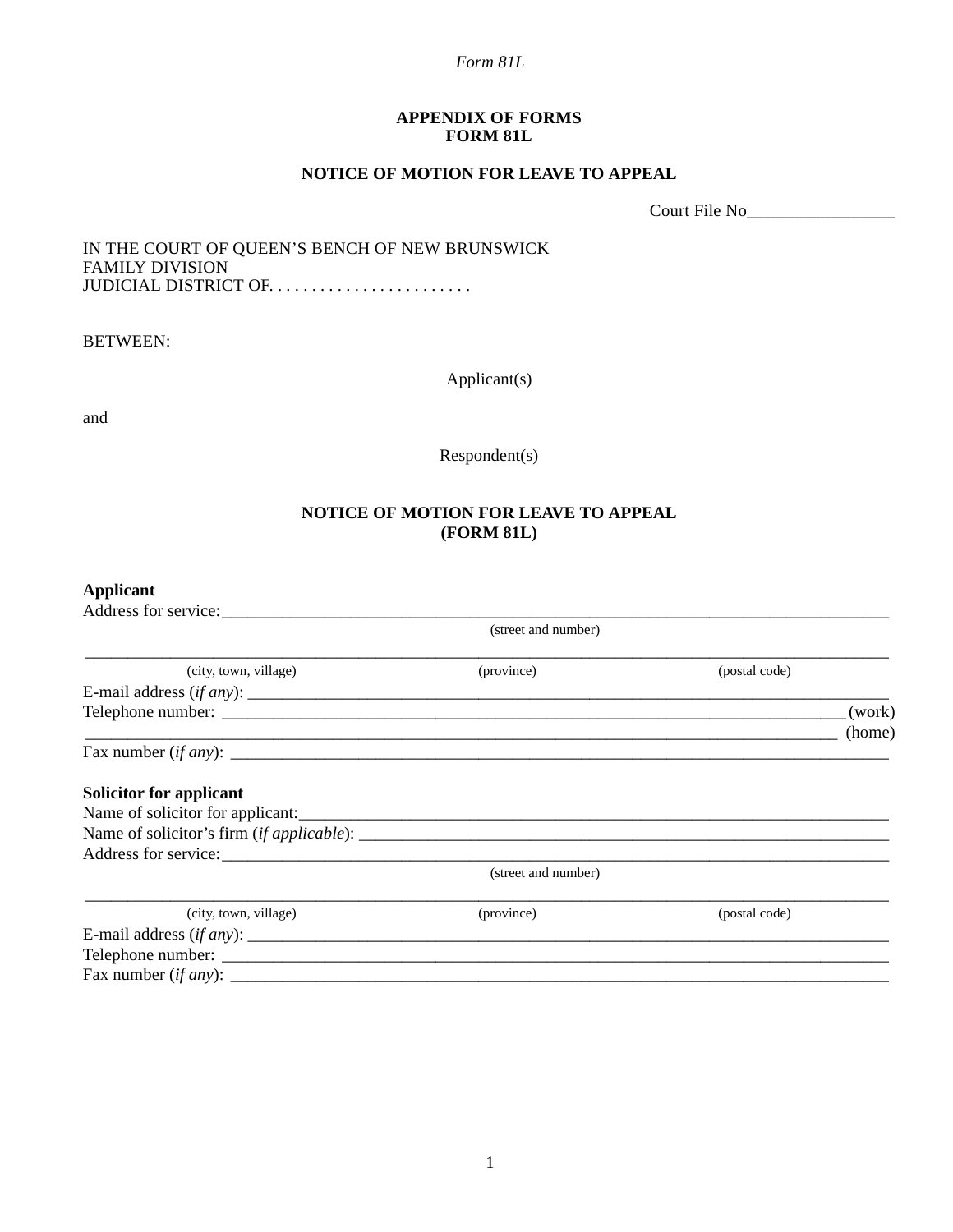#### *Form 81L*

### **APPENDIX OF FORMS FORM 81L**

## **NOTICE OF MOTION FOR LEAVE TO APPEAL**

Court File No\_\_\_\_\_\_\_\_\_\_\_\_\_\_\_\_\_

### IN THE COURT OF QUEEN'S BENCH OF NEW BRUNSWICK FAMILY DIVISION JUDICIAL DISTRICT OF. . . . . . . . . . . . . . . . . . . . . . . .

BETWEEN:

Applicant(s)

and

Respondent(s)

# **NOTICE OF MOTION FOR LEAVE TO APPEAL (FORM 81L)**

## **Applicant**

| Address for service:           |                     |               |                  |
|--------------------------------|---------------------|---------------|------------------|
| (street and number)            |                     |               |                  |
| (city, town, village)          | (province)          | (postal code) |                  |
|                                |                     |               |                  |
|                                |                     |               | (work)<br>(home) |
|                                |                     |               |                  |
| <b>Solicitor for applicant</b> |                     |               |                  |
|                                |                     |               |                  |
|                                |                     |               |                  |
| Address for service:           |                     |               |                  |
|                                | (street and number) |               |                  |
| (city, town, village)          | (province)          | (postal code) |                  |
|                                |                     |               |                  |
|                                |                     |               |                  |
|                                |                     |               |                  |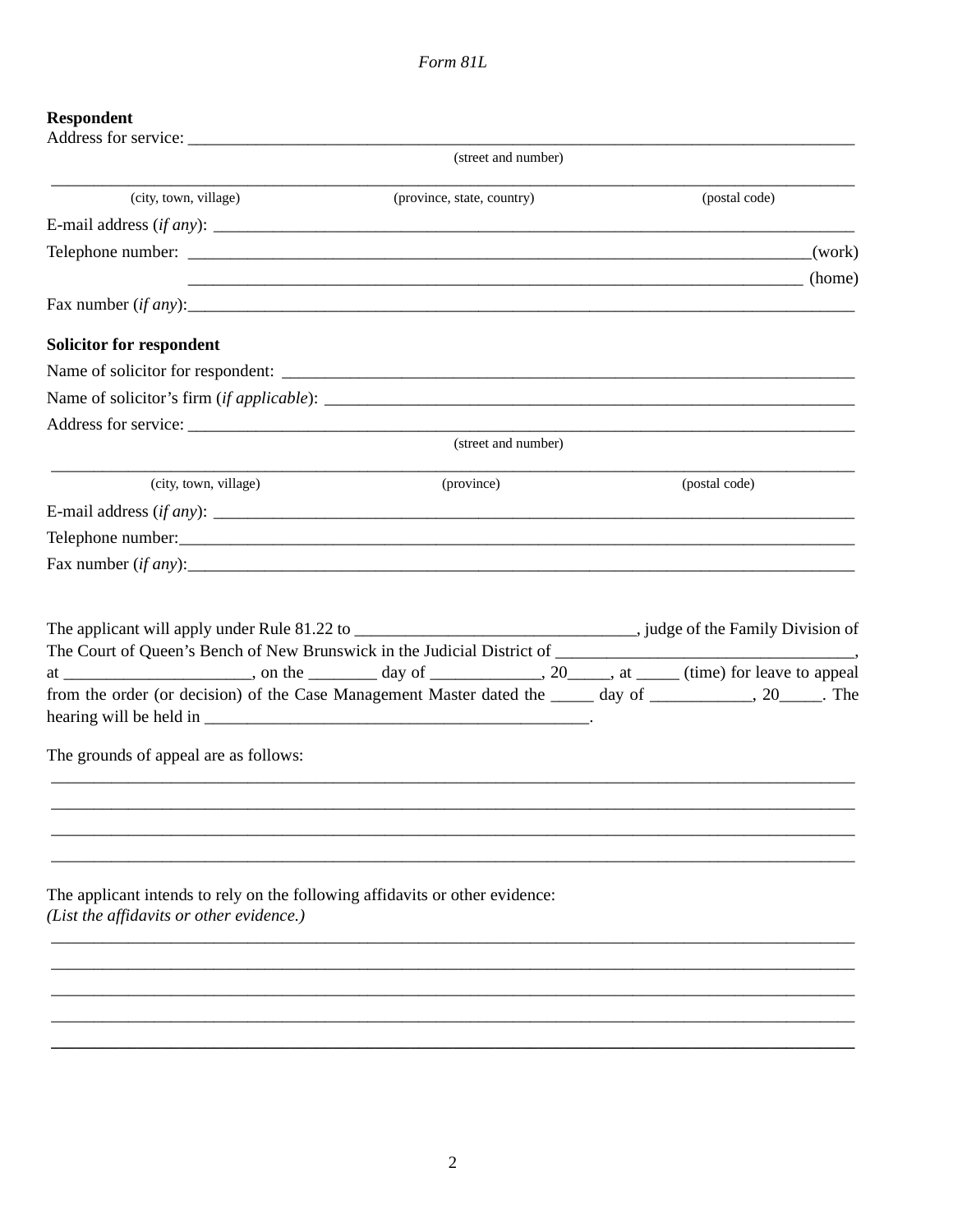# **Respondent**

|                                                                                                                          | (street and number)        |                                                                                                                     |
|--------------------------------------------------------------------------------------------------------------------------|----------------------------|---------------------------------------------------------------------------------------------------------------------|
| (city, town, village)                                                                                                    | (province, state, country) | (postal code)                                                                                                       |
|                                                                                                                          |                            |                                                                                                                     |
|                                                                                                                          |                            | (work)                                                                                                              |
|                                                                                                                          |                            | <b>Example 2</b> (home) (home)                                                                                      |
| Fax number $(if any)$ :                                                                                                  |                            |                                                                                                                     |
| <b>Solicitor for respondent</b>                                                                                          |                            |                                                                                                                     |
|                                                                                                                          |                            |                                                                                                                     |
|                                                                                                                          |                            |                                                                                                                     |
|                                                                                                                          |                            |                                                                                                                     |
|                                                                                                                          | (street and number)        |                                                                                                                     |
| (city, town, village)                                                                                                    | (province)                 | (postal code)                                                                                                       |
|                                                                                                                          |                            |                                                                                                                     |
| Telephone number:                                                                                                        |                            |                                                                                                                     |
|                                                                                                                          |                            |                                                                                                                     |
|                                                                                                                          |                            |                                                                                                                     |
|                                                                                                                          |                            | at _______________________, on the __________ day of _______________, 20______, at _____ (time) for leave to appeal |
|                                                                                                                          |                            | from the order (or decision) of the Case Management Master dated the _____ day of __________, 20_____. The          |
| The grounds of appeal are as follows:                                                                                    |                            |                                                                                                                     |
|                                                                                                                          |                            |                                                                                                                     |
|                                                                                                                          |                            |                                                                                                                     |
|                                                                                                                          |                            |                                                                                                                     |
| The applicant intends to rely on the following affidavits or other evidence:<br>(List the affidavits or other evidence.) |                            |                                                                                                                     |
|                                                                                                                          |                            |                                                                                                                     |
|                                                                                                                          |                            |                                                                                                                     |
|                                                                                                                          |                            |                                                                                                                     |
|                                                                                                                          |                            |                                                                                                                     |